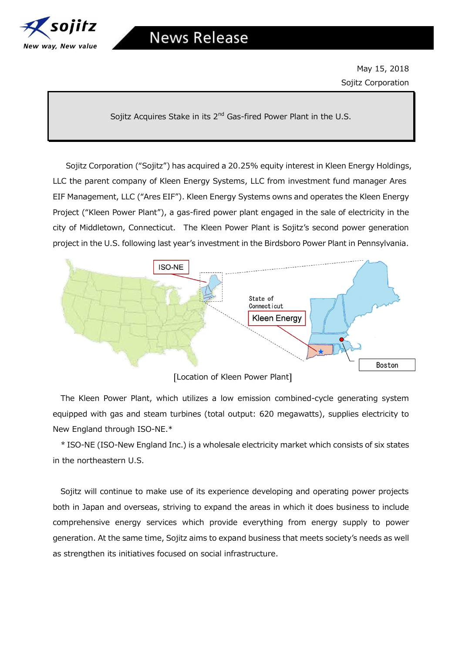

May 15, 2018 Sojitz Corporation

Sojitz Acquires Stake in its 2<sup>nd</sup> Gas-fired Power Plant in the U.S.

Sojitz Corporation ("Sojitz") has acquired a 20.25% equity interest in Kleen Energy Holdings, LLC the parent company of Kleen Energy Systems, LLC from investment fund manager Ares EIF Management, LLC ("Ares EIF"). Kleen Energy Systems owns and operates the Kleen Energy Project ("Kleen Power Plant"), a gas-fired power plant engaged in the sale of electricity in the city of Middletown, Connecticut. The Kleen Power Plant is Sojitz's second power generation project in the U.S. following last year's investment in the Birdsboro Power Plant in Pennsylvania.



[Location of Kleen Power Plant]

The Kleen Power Plant, which utilizes a low emission combined-cycle generating system equipped with gas and steam turbines (total output: 620 megawatts), supplies electricity to New England through ISO-NE.\*

\* ISO-NE (ISO-New England Inc.) is a wholesale electricity market which consists of six states in the northeastern U.S.

Sojitz will continue to make use of its experience developing and operating power projects both in Japan and overseas, striving to expand the areas in which it does business to include comprehensive energy services which provide everything from energy supply to power generation. At the same time, Sojitz aims to expand business that meets society's needs as well as strengthen its initiatives focused on social infrastructure.